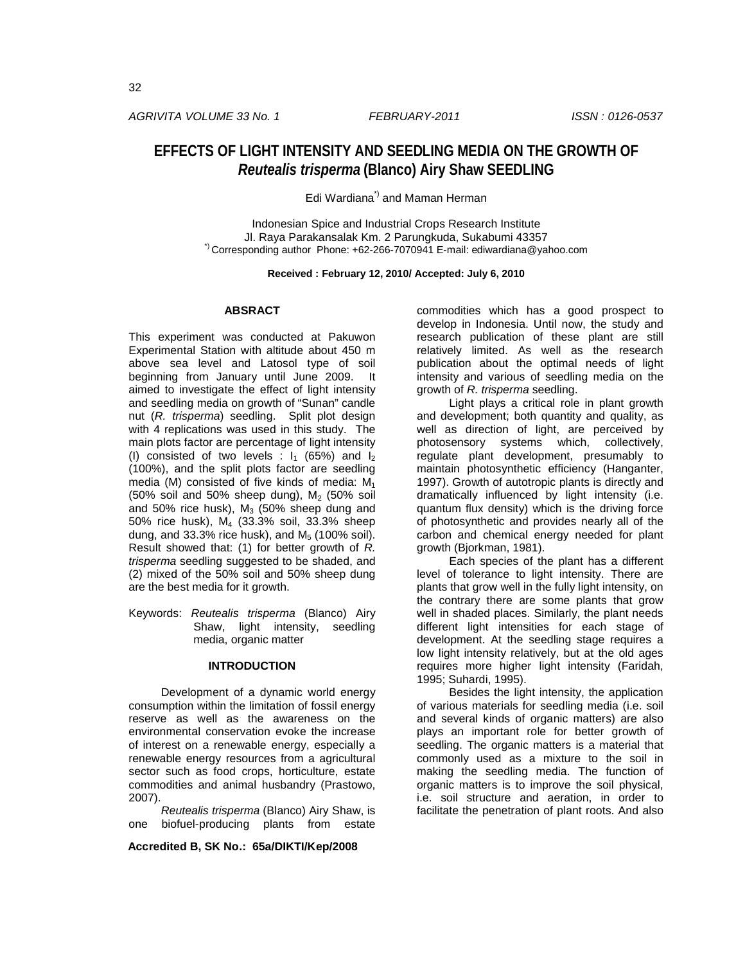## *AGRIVITA VOLUME 33 No. 1 FEBRUARY-2011 ISSN : 0126-0537*

# **EFFECTS OF LIGHT INTENSITY AND SEEDLING MEDIA ON THE GROWTH OF**  *Reutealis trisperma* **(Blanco) Airy Shaw SEEDLING**

Edi Wardiana\*) and Maman Herman

Indonesian Spice and Industrial Crops Research Institute<br>J. Raya Parakansalak Km. 2 Parungkuda, Sukabumi 43357 <sup>")</sup> Corresponding author Phone: +62-266-7070941 E-mail: ediwardiana@yahoo.com

**Received : February 12, 2010/ Accepted: July 6, 2010**

#### **ABSRACT**

This experiment was conducted at Pakuwon Experimental Station with altitude about 450 m above sea level and Latosol type of soil beginning from January until June 2009. It aimed to investigate the effect of light intensity and seedling media on growth of "Sunan" candle nut (*R. trisperma*) seedling. Split plot design with 4 replications was used in this study. The main plots factor are percentage of light intensity (I) consisted of two levels :  $I_1$  (65%) and  $I_2$ (100%), and the split plots factor are seedling media (M) consisted of five kinds of media:  $M_1$ (50% soil and 50% sheep dung),  $M<sub>2</sub>$  (50% soil and 50% rice husk),  $M_3$  (50% sheep dung and 50% rice husk), M4 (33.3% soil, 33.3% sheep dung, and 33.3% rice husk), and  $M<sub>5</sub>$  (100% soil). Result showed that: (1) for better growth of *R. trisperma* seedling suggested to be shaded, and (2) mixed of the 50% soil and 50% sheep dung are the best media for it growth.

Keywords: *Reutealis trisperma* (Blanco) Airy Shaw, light intensity, seedling media, organic matter

## **INTRODUCTION**

Development of a dynamic world energy consumption within the limitation of fossil energy reserve as well as the awareness on the environmental conservation evoke the increase of interest on a renewable energy, especially a renewable energy resources from a agricultural sector such as food crops, horticulture, estate commodities and animal husbandry (Prastowo, 2007).

*Reutealis trisperma* (Blanco) Airy Shaw, is one biofuel-producing plants from estate

**Accredited B, SK No.: 65a/DIKTI/Kep/2008**

commodities which has a good prospect to develop in Indonesia. Until now, the study and research publication of these plant are still relatively limited. As well as the research publication about the optimal needs of light intensity and various of seedling media on the growth of *R. trisperma* seedling.

Light plays a critical role in plant growth and development; both quantity and quality, as well as direction of light, are perceived by photosensory systems which, collectively, regulate plant development, presumably to maintain photosynthetic efficiency (Hanganter, 1997). Growth of autotropic plants is directly and dramatically influenced by light intensity (i.e. quantum flux density) which is the driving force of photosynthetic and provides nearly all of the carbon and chemical energy needed for plant growth (Bjorkman, 1981).

Each species of the plant has a different level of tolerance to light intensity. There are plants that grow well in the fully light intensity, on the contrary there are some plants that grow well in shaded places. Similarly, the plant needs different light intensities for each stage of development. At the seedling stage requires a low light intensity relatively, but at the old ages requires more higher light intensity (Faridah, 1995; Suhardi, 1995).

Besides the light intensity, the application of various materials for seedling media (i.e. soil and several kinds of organic matters) are also plays an important role for better growth of seedling. The organic matters is a material that commonly used as a mixture to the soil in making the seedling media. The function of organic matters is to improve the soil physical, i.e. soil structure and aeration, in order to facilitate the penetration of plant roots. And also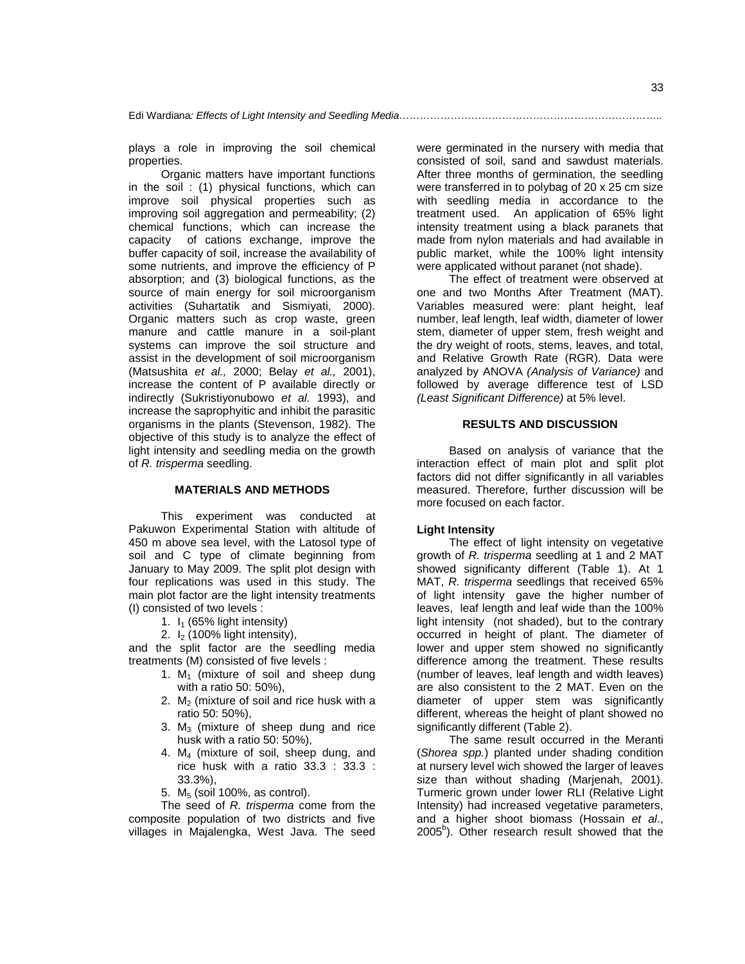plays a role in improving the soil chemical properties.

Organic matters have important functions in the soil : (1) physical functions, which can improve soil physical properties such as improving soil aggregation and permeability; (2) chemical functions, which can increase the capacity of cations exchange, improve the buffer capacity of soil, increase the availability of some nutrients, and improve the efficiency of P absorption; and (3) biological functions, as the source of main energy for soil microorganism activities (Suhartatik and Sismiyati, 2000). Organic matters such as crop waste, green manure and cattle manure in a soil-plant systems can improve the soil structure and assist in the development of soil microorganism (Matsushita *et al.,* 2000; Belay *et al.,* 2001), increase the content of P available directly or indirectly (Sukristiyonubowo *et al.* 1993), and increase the saprophyitic and inhibit the parasitic organisms in the plants (Stevenson, 1982). The objective of this study is to analyze the effect of light intensity and seedling media on the growth of *R. trisperma* seedling.

## **MATERIALS AND METHODS**

This experiment was conducted at Pakuwon Experimental Station with altitude of 450 m above sea level, with the Latosol type of soil and C type of climate beginning from January to May 2009. The split plot design with four replications was used in this study. The main plot factor are the light intensity treatments (I) consisted of two levels :

- 1.  $I_1$  (65% light intensity)
- 2.  $I_2$  (100% light intensity),

and the split factor are the seedling media treatments (M) consisted of five levels :

- 1.  $M_1$  (mixture of soil and sheep dung with a ratio 50: 50%),
- 2.  $M<sub>2</sub>$  (mixture of soil and rice husk with a ratio 50: 50%),
- 3.  $M<sub>3</sub>$  (mixture of sheep dung and rice husk with a ratio 50: 50%),
- 4. M4 (mixture of soil, sheep dung, and rice husk with a ratio 33.3 : 33.3 : 33.3%),
- 5.  $M<sub>5</sub>$  (soil 100%, as control).

The seed of *R. trisperma* come from the composite population of two districts and five villages in Majalengka, West Java. The seed

were germinated in the nursery with media that consisted of soil, sand and sawdust materials. After three months of germination, the seedling were transferred in to polybag of 20 x 25 cm size with seedling media in accordance to the treatment used. An application of 65% light intensity treatment using a black paranets that made from nylon materials and had available in public market, while the 100% light intensity were applicated without paranet (not shade).

The effect of treatment were observed at one and two Months After Treatment (MAT). Variables measured were: plant height, leaf number, leaf length, leaf width, diameter of lower stem, diameter of upper stem, fresh weight and the dry weight of roots, stems, leaves, and total, and Relative Growth Rate (RGR). Data were analyzed by ANOVA *(Analysis of Variance)* and followed by average difference test of LSD *(Least Significant Difference)* at 5% level.

#### **RESULTS AND DISCUSSION**

Based on analysis of variance that the interaction effect of main plot and split plot factors did not differ significantly in all variables measured. Therefore, further discussion will be more focused on each factor.

#### **Light Intensity**

The effect of light intensity on vegetative growth of *R. trisperma* seedling at 1 and 2 MAT showed significanty different (Table 1). At 1 MAT, *R. trisperma* seedlings that received 65% of light intensity gave the higher number of leaves, leaf length and leaf wide than the 100% light intensity (not shaded), but to the contrary occurred in height of plant. The diameter of lower and upper stem showed no significantly difference among the treatment. These results (number of leaves, leaf length and width leaves) are also consistent to the 2 MAT. Even on the diameter of upper stem was significantly different, whereas the height of plant showed no significantly different (Table 2).

The same result occurred in the Meranti (*Shorea spp.*) planted under shading condition at nursery level wich showed the larger of leaves size than without shading (Marjenah, 2001). Turmeric grown under lower RLI (Relative Light Intensity) had increased vegetative parameters, and a higher shoot biomass (Hossain *et al*., 2005<sup>b</sup>). Other research result showed that the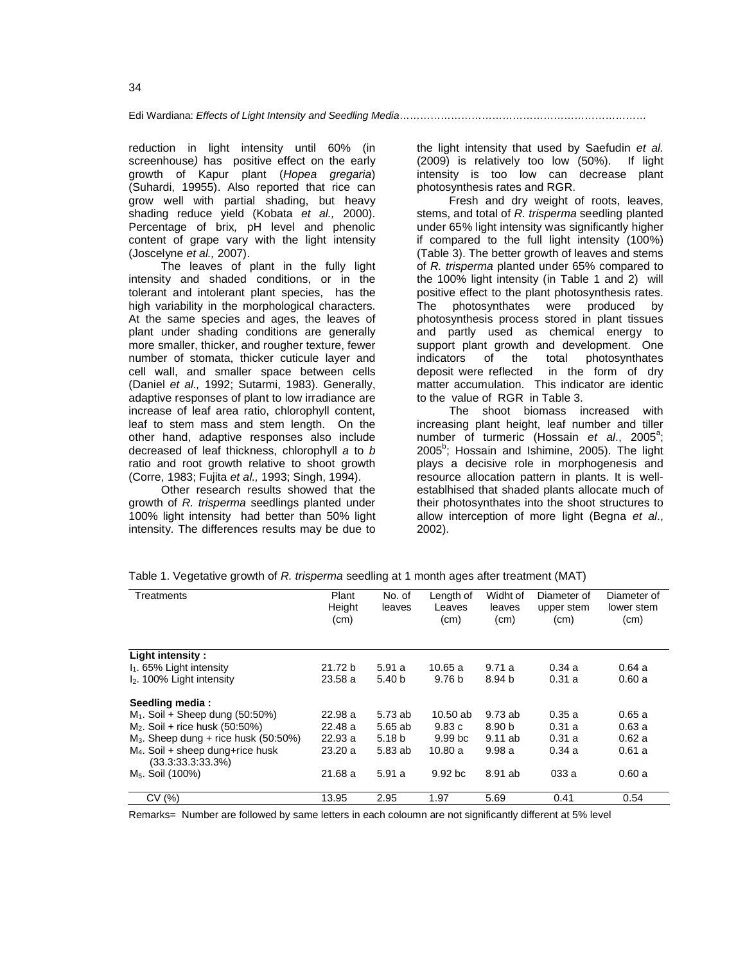reduction in light intensity until 60% (in screenhouse*)* has positive effect on the early growth of Kapur plant (*Hopea gregaria*) (Suhardi, 19955). Also reported that rice can grow well with partial shading, but heavy shading reduce yield (Kobata *et al.,* 2000). Percentage of brix*,* pH level and phenolic content of grape vary with the light intensity (Joscelyne *et al.,* 2007).

The leaves of plant in the fully light intensity and shaded conditions, or in the tolerant and intolerant plant species, has the high variability in the morphological characters. At the same species and ages, the leaves of plant under shading conditions are generally more smaller, thicker, and rougher texture, fewer number of stomata, thicker cuticule layer and cell wall, and smaller space between cells (Daniel *et al.,* 1992; Sutarmi, 1983). Generally, adaptive responses of plant to low irradiance are increase of leaf area ratio, chlorophyll content, leaf to stem mass and stem length. On the other hand, adaptive responses also include decreased of leaf thickness, chlorophyll *a* to *b* ratio and root growth relative to shoot growth (Corre, 1983; Fujita *et al.,* 1993; Singh, 1994).

Other research results showed that the growth of *R. trisperma* seedlings planted under 100% light intensity had better than 50% light intensity. The differences results may be due to

the light intensity that used by Saefudin *et al.* (2009) is relatively too low (50%). If light intensity is too low can decrease plant photosynthesis rates and RGR.

Fresh and dry weight of roots, leaves, stems, and total of *R. trisperma* seedling planted under 65% light intensity was significantly higher if compared to the full light intensity (100%) (Table 3). The better growth of leaves and stems of *R. trisperma* planted under 65% compared to the 100% light intensity (in Table 1 and 2) will positive effect to the plant photosynthesis rates. The photosynthates were produced by photosynthesis process stored in plant tissues and partly used as chemical energy to support plant growth and development. One indicators of the total photosynthates deposit were reflected in the form of dry matter accumulation. This indicator are identic to the value of RGR in Table 3.

The shoot biomass increased with increasing plant height, leaf number and tiller number of turmeric (Hossain et al., 2005<sup>a</sup>; 2005<sup>b</sup>; Hossain and Ishimine, 2005). The light plays a decisive role in morphogenesis and resource allocation pattern in plants. It is wellestablhised that shaded plants allocate much of their photosynthates into the shoot structures to allow interception of more light (Begna *et al*., 2002).

| Treatments                                                        | Plant<br>Height<br>(cm) | No. of<br>leaves  | Length of<br>Leaves<br>(cm) | Widht of<br>leaves<br>(cm) | Diameter of<br>upper stem<br>(cm) | Diameter of<br>lower stem<br>(cm) |
|-------------------------------------------------------------------|-------------------------|-------------------|-----------------------------|----------------------------|-----------------------------------|-----------------------------------|
| Light intensity:                                                  |                         |                   |                             |                            |                                   |                                   |
| $I_1$ . 65% Light intensity                                       | 21.72 b                 | 5.91a             | 10.65 a                     | 9.71a                      | 0.34a                             | 0.64a                             |
| $I2$ . 100% Light intensity                                       | 23.58a                  | 5.40 <sub>b</sub> | 9.76 <sub>b</sub>           | 8.94 b                     | 0.31a                             | 0.60a                             |
| Seedling media:                                                   |                         |                   |                             |                            |                                   |                                   |
| $M_1$ . Soil + Sheep dung (50:50%)                                | 22.98a                  | 5.73 ab           | $10.50$ ab                  | 9.73ab                     | 0.35a                             | 0.65a                             |
| $M_2$ . Soil + rice husk (50:50%)                                 | 22.48 a                 | 5.65 ab           | 9.83c                       | 8.90 <sub>b</sub>          | 0.31a                             | 0.63a                             |
| $M_3$ . Sheep dung + rice husk (50:50%)                           | 22.93a                  | 5.18 b            | 9.99 <sub>b</sub> c         | $9.11$ ab                  | 0.31a                             | 0.62a                             |
| M <sub>4</sub> . Soil + sheep dung+rice husk<br>(33.3:33.3:33.3%) | 23.20a                  | 5.83 ab           | 10.80a                      | 9.98a                      | 0.34a                             | 0.61a                             |
| M <sub>5</sub> . Soil (100%)                                      | 21.68 a                 | 5.91 a            | 9.92 <sub>bc</sub>          | 8.91 ab                    | 033 a                             | 0.60a                             |
| CV(%)                                                             | 13.95                   | 2.95              | 1.97                        | 5.69                       | 0.41                              | 0.54                              |

Table 1. Vegetative growth of *R. trisperma* seedling at 1 month ages after treatment (MAT)

Remarks= Number are followed by same letters in each coloumn are not significantly different at 5% level

34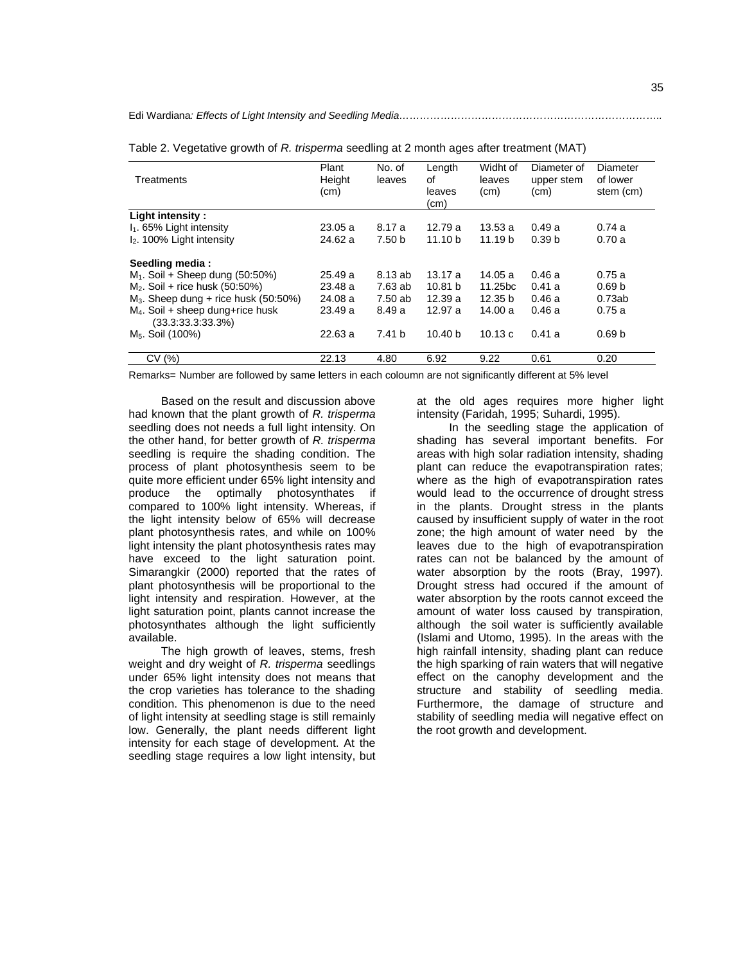Edi Wardiana*: Effects of Light Intensity and Seedling Media…………………………………………………………………..*

| Treatments                                              | Plant<br>Height<br>(cm) | No. of<br>leaves  | Length<br>of<br>leaves<br>(cm) | Widht of<br>leaves<br>(cm) | Diameter of<br>upper stem<br>(cm) | Diameter<br>of lower<br>stem (cm) |
|---------------------------------------------------------|-------------------------|-------------------|--------------------------------|----------------------------|-----------------------------------|-----------------------------------|
| Light intensity :                                       |                         |                   |                                |                            |                                   |                                   |
| $I_1$ . 65% Light intensity                             | 23.05a                  | 8.17 a            | 12.79a                         | 13.53 a                    | 0.49a                             | 0.74a                             |
| $I2$ . 100% Light intensity                             | 24.62a                  | 7.50 <sub>b</sub> | 11.10 <sub>b</sub>             | 11.19 <sub>b</sub>         | 0.39 <sub>b</sub>                 | 0.70a                             |
| Seedling media:                                         |                         |                   |                                |                            |                                   |                                   |
| $M_1$ . Soil + Sheep dung (50:50%)                      | 25.49a                  | 8.13 ab           | 13.17a                         | 14.05 a                    | 0.46a                             | 0.75a                             |
| $M_2$ . Soil + rice husk (50:50%)                       | 23.48a                  | 7.63 ab           | 10.81 <sub>b</sub>             | 11.25 <sub>bc</sub>        | 0.41a                             | 0.69 <sub>b</sub>                 |
| $M_3$ . Sheep dung + rice husk (50:50%)                 | 24.08a                  | 7.50 ab           | 12.39a                         | 12.35 <sub>b</sub>         | 0.46a                             | 0.73ab                            |
| $M4$ . Soil + sheep dung+rice husk<br>(33.3:33.3:33.3%) | 23.49a                  | 8.49a             | 12.97 a                        | 14.00 a                    | 0.46a                             | 0.75a                             |
| M <sub>5</sub> . Soil (100%)                            | 22.63a                  | 7.41 <sub>b</sub> | 10.40 <sub>b</sub>             | 10.13c                     | 0.41a                             | 0.69 <sub>b</sub>                 |
| CV(%)                                                   | 22.13                   | 4.80              | 6.92                           | 9.22                       | 0.61                              | 0.20                              |

Table 2. Vegetative growth of *R. trisperma* seedling at 2 month ages after treatment (MAT)

Remarks= Number are followed by same letters in each coloumn are not significantly different at 5% level

Based on the result and discussion above had known that the plant growth of *R. trisperma* seedling does not needs a full light intensity. On the other hand, for better growth of *R. trisperma* seedling is require the shading condition. The process of plant photosynthesis seem to be quite more efficient under 65% light intensity and produce the optimally photosynthates if compared to 100% light intensity. Whereas, if the light intensity below of 65% will decrease plant photosynthesis rates, and while on 100% light intensity the plant photosynthesis rates may have exceed to the light saturation point. Simarangkir (2000) reported that the rates of plant photosynthesis will be proportional to the light intensity and respiration. However, at the light saturation point, plants cannot increase the photosynthates although the light sufficiently available.

The high growth of leaves, stems, fresh weight and dry weight of *R. trisperma* seedlings under 65% light intensity does not means that the crop varieties has tolerance to the shading condition. This phenomenon is due to the need of light intensity at seedling stage is still remainly low. Generally, the plant needs different light intensity for each stage of development. At the seedling stage requires a low light intensity, but

at the old ages requires more higher light intensity (Faridah, 1995; Suhardi, 1995).

In the seedling stage the application of shading has several important benefits. For areas with high solar radiation intensity, shading plant can reduce the evapotranspiration rates; where as the high of evapotranspiration rates would lead to the occurrence of drought stress in the plants. Drought stress in the plants caused by insufficient supply of water in the root zone; the high amount of water need by the leaves due to the high of evapotranspiration rates can not be balanced by the amount of water absorption by the roots (Bray, 1997). Drought stress had occured if the amount of water absorption by the roots cannot exceed the amount of water loss caused by transpiration, although the soil water is sufficiently available (Islami and Utomo, 1995). In the areas with the high rainfall intensity, shading plant can reduce the high sparking of rain waters that will negative effect on the canophy development and the structure and stability of seedling media. Furthermore, the damage of structure and stability of seedling media will negative effect on the root growth and development.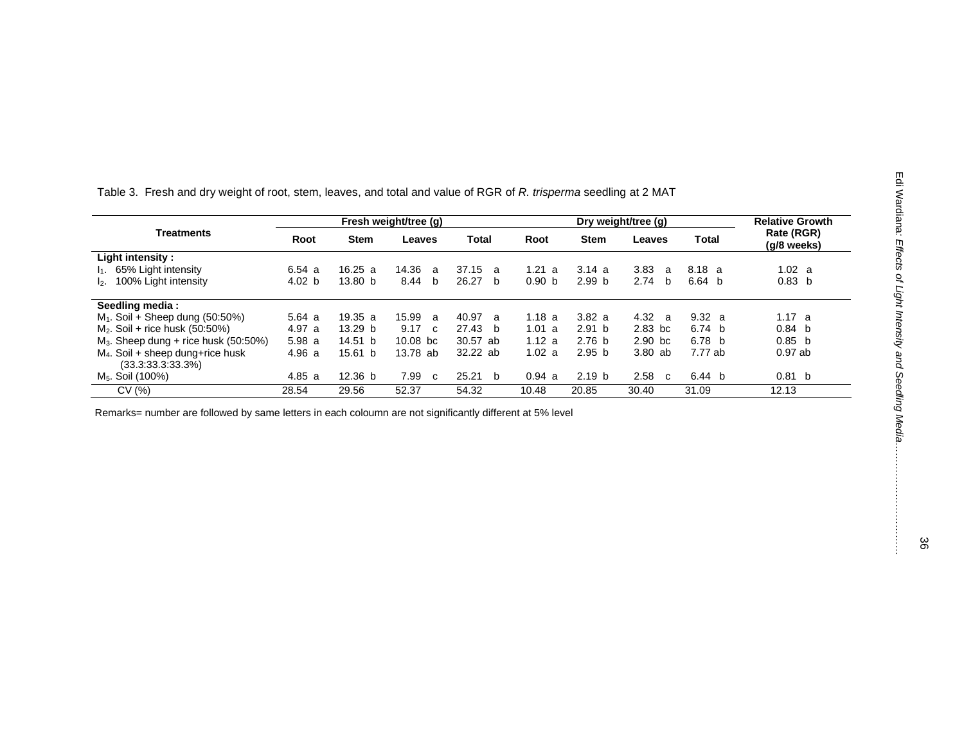| ロボンフォロ |
|--------|
|        |
|        |
|        |
|        |
|        |
|        |
|        |
|        |
|        |

Table 3. Fresh and dry weight of root, stem, leaves, and total and value of RGR of *R. trisperma* seedling at 2 MAT

| <b>Treatments</b>                                       | Fresh weight/tree (g) |                    |                       |                       | Dry weight/tree (g)  |                   |                      |                   | <b>Relative Growth</b>    |
|---------------------------------------------------------|-----------------------|--------------------|-----------------------|-----------------------|----------------------|-------------------|----------------------|-------------------|---------------------------|
|                                                         | Root                  | <b>Stem</b>        | Leaves                | <b>Total</b>          | Root                 | <b>Stem</b>       | Leaves               | Total             | Rate (RGR)<br>(g/8 weeks) |
| Light intensity :                                       |                       |                    |                       |                       |                      |                   |                      |                   |                           |
| $I_1$ . 65% Light intensity                             | 6.54a                 | 16.25a             | 14.36<br>$\mathbf{a}$ | 37.15<br>$\mathbf{a}$ | 1.21<br>$\mathbf{a}$ | 3.14a             | 3.83<br><sub>a</sub> | 8.18 a            | 1.02 a                    |
| 100% Light intensity<br>12.                             | 4.02 b                | 13.80 <sub>b</sub> | 8.44<br>- b           | 26.27<br>b b          | 0.90 <sub>b</sub>    | 2.99 <sub>b</sub> | 2.74<br>b            | 6.64 <sub>b</sub> | 0.83 <sub>b</sub>         |
| Seedling media:                                         |                       |                    |                       |                       |                      |                   |                      |                   |                           |
| $M_1$ . Soil + Sheep dung (50:50%)                      | 5.64a                 | 19.35 a            | 15.99 a               | 40.97 a               | 1.18a                | 3.82a             | 4.32 a               | 9.32 a            | 1.17 a                    |
| $M_2$ . Soil + rice husk (50:50%)                       | 4.97 a                | 13.29 <sub>b</sub> | 9.17<br>$\mathbf{c}$  | 27.43<br>h.           | 1.01 a               | 2.91 <sub>b</sub> | $2.83$ bc            | 6.74 <sub>b</sub> | 0.84 <sub>b</sub>         |
| $M_3$ . Sheep dung + rice husk (50:50%)                 | 5.98a                 | 14.51 b            | $10.08$ bc            | 30.57 ab              | 1.12 a               | 2.76 <sub>b</sub> | $2.90$ bc            | 6.78 b            | 0.85 b                    |
| $M4$ . Soil + sheep dung+rice husk<br>(33.3.33.3.33.3%) | 4.96a                 | 15.61 b            | 13.78 ab              | 32.22 ab              | 1.02 a               | 2.95 <sub>b</sub> | 3.80 ab              | 7.77 ab           | $0.97$ ab                 |
| M <sub>5</sub> . Soil (100%)                            | 4.85a                 | 12.36 <sub>b</sub> | 7.99<br>C.            | 25.21<br>- b          | 0.94 a               | 2.19 <sub>b</sub> | 2.58<br>C.           | 6.44 b            | 0.81<br>- b               |
| CV(%)                                                   | 28.54                 | 29.56              | 52.37                 | 54.32                 | 10.48                | 20.85             | 30.40                | 31.09             | 12.13                     |

Remarks= number are followed by same letters in each coloumn are not significantly different at 5% level

*… … … …*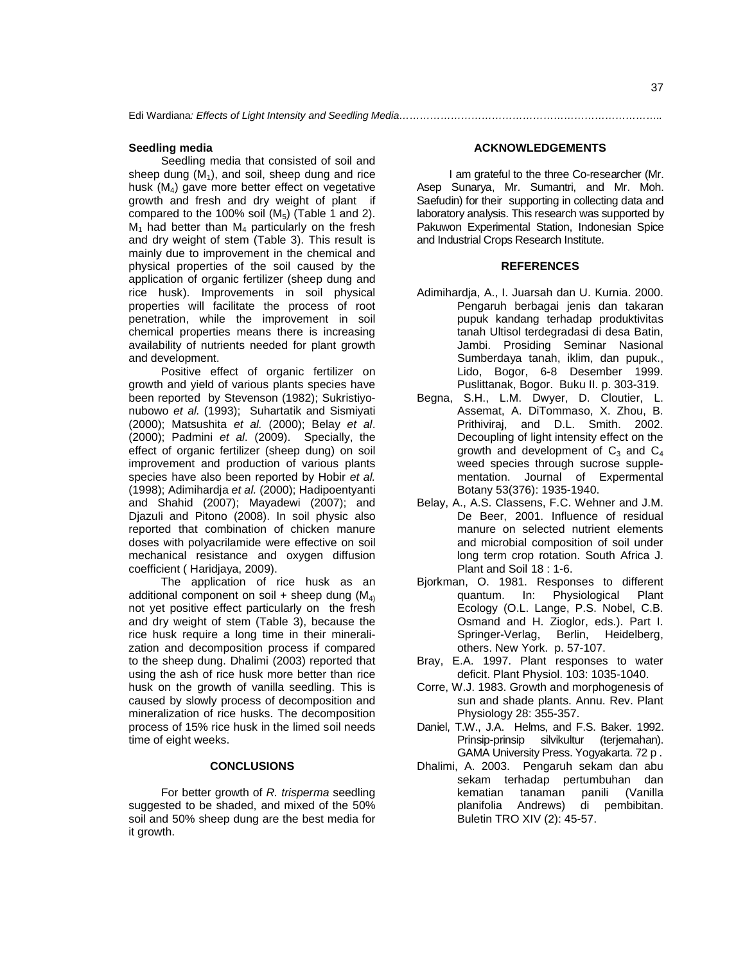#### **Seedling media**

Seedling media that consisted of soil and sheep dung  $(M_1)$ , and soil, sheep dung and rice husk (M4) gave more better effect on vegetative growth and fresh and dry weight of plant if compared to the 100% soil  $(M_5)$  (Table 1 and 2).  $M_1$  had better than  $M_4$  particularly on the fresh and dry weight of stem (Table 3). This result is mainly due to improvement in the chemical and physical properties of the soil caused by the application of organic fertilizer (sheep dung and rice husk). Improvements in soil physical properties will facilitate the process of root penetration, while the improvement in soil chemical properties means there is increasing availability of nutrients needed for plant growth and development.

Positive effect of organic fertilizer on growth and yield of various plants species have been reported by Stevenson (1982); Sukristiyonubowo *et al.* (1993); Suhartatik and Sismiyati (2000); Matsushita *et al.* (2000); Belay *et al*. (2000); Padmini *et al*. (2009). Specially, the effect of organic fertilizer (sheep dung) on soil improvement and production of various plants species have also been reported by Hobir *et al.* (1998); Adimihardja *et al.* (2000); Hadipoentyanti and Shahid (2007); Mayadewi (2007); and Djazuli and Pitono (2008). In soil physic also reported that combination of chicken manure doses with polyacrilamide were effective on soil mechanical resistance and oxygen diffusion coefficient ( Haridjaya, 2009).

The application of rice husk as an additional component on soil + sheep dung  $(M<sub>4</sub>)$ not yet positive effect particularly on the fresh and dry weight of stem (Table 3), because the rice husk require a long time in their mineralization and decomposition process if compared to the sheep dung. Dhalimi (2003) reported that using the ash of rice husk more better than rice husk on the growth of vanilla seedling. This is caused by slowly process of decomposition and mineralization of rice husks. The decomposition process of 15% rice husk in the limed soil needs time of eight weeks.

### **CONCLUSIONS**

For better growth of *R. trisperma* seedling suggested to be shaded, and mixed of the 50% soil and 50% sheep dung are the best media for it growth.

## **ACKNOWLEDGEMENTS**

I am grateful to the three Co-researcher (Mr. Asep Sunarya, Mr. Sumantri, and Mr. Moh. Saefudin) for their supporting in collecting data and laboratory analysis. This research was supported by Pakuwon Experimental Station, Indonesian Spice and Industrial Crops Research Institute.

#### **REFERENCES**

- Adimihardja, A., I. Juarsah dan U. Kurnia. 2000. Pengaruh berbagai jenis dan takaran pupuk kandang terhadap produktivitas tanah Ultisol terdegradasi di desa Batin, Jambi. Prosiding Seminar Nasional Sumberdaya tanah, iklim, dan pupuk., Lido, Bogor, 6-8 Desember 1999. Puslittanak, Bogor. Buku II. p. 303-319.
- Begna, S.H., L.M. Dwyer, D. Cloutier, L. Assemat, A. DiTommaso, X. Zhou, B. Prithiviraj, and D.L. Smith. 2002. Decoupling of light intensity effect on the growth and development of  $C_3$  and  $C_4$ weed species through sucrose supplementation. Journal of Expermental Botany 53(376): 1935-1940.
- Belay, A., A.S. Classens, F.C. Wehner and J.M. De Beer, 2001. Influence of residual manure on selected nutrient elements and microbial composition of soil under long term crop rotation. South Africa J. Plant and Soil 18 : 1-6.
- Bjorkman, O. 1981. Responses to different quantum. In: Physiological Plant Ecology (O.L. Lange, P.S. Nobel, C.B. Osmand and H. Zioglor, eds.). Part I. Springer-Verlag, Berlin, Heidelberg, others. New York. p. 57-107.
- Bray, E.A. 1997. Plant responses to water deficit. Plant Physiol. 103: 1035-1040.
- Corre, W.J. 1983. Growth and morphogenesis of sun and shade plants. Annu. Rev. Plant Physiology 28: 355-357.
- Daniel, T.W., J.A. Helms, and F.S. Baker. 1992. Prinsip-prinsip silvikultur (terjemahan). GAMA University Press. Yogyakarta. 72 p .
- Dhalimi, A. 2003. Pengaruh sekam dan abu sekam terhadap pertumbuhan dan kematian tanaman panili (Vanilla planifolia Andrews) di pembibitan. Buletin TRO XIV (2): 45-57.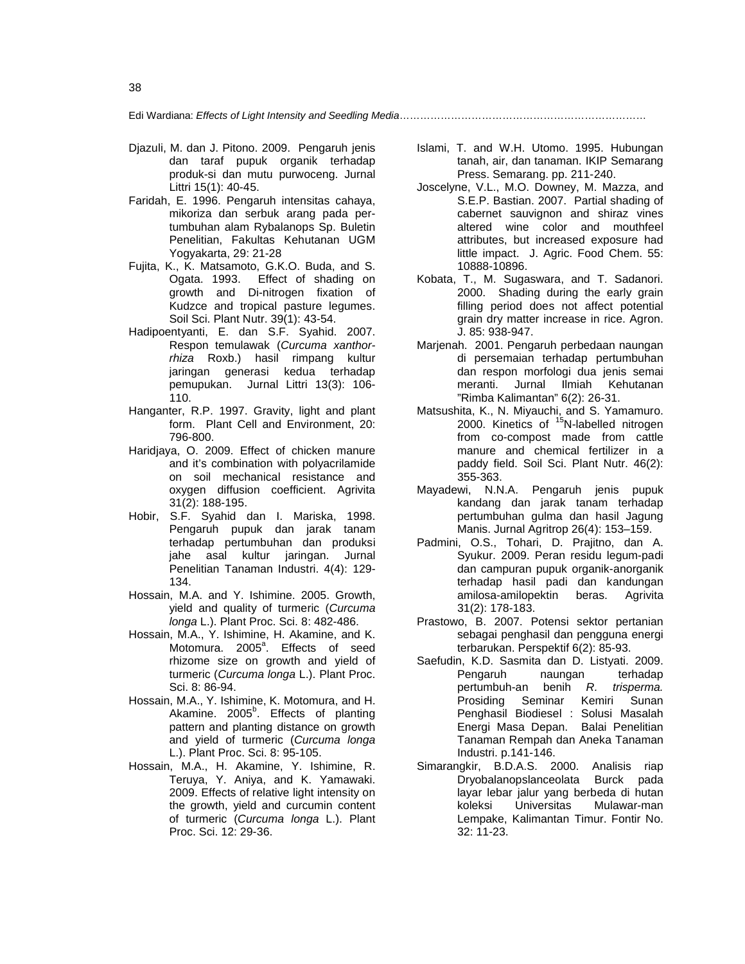Edi Wardiana: *Effects of Light Intensity and Seedling Media*………………………………………………………………

- Djazuli, M. dan J. Pitono. 2009. Pengaruh jenis dan taraf pupuk organik terhadap produk-si dan mutu purwoceng. Jurnal Littri 15(1): 40-45.
- Faridah, E. 1996. Pengaruh intensitas cahaya, mikoriza dan serbuk arang pada pertumbuhan alam Rybalanops Sp. Buletin Penelitian, Fakultas Kehutanan UGM Yogyakarta, 29: 21-28
- Fujita, K., K. Matsamoto, G.K.O. Buda, and S. Ogata. 1993. Effect of shading on growth and Di-nitrogen fixation of Kudzce and tropical pasture legumes. Soil Sci. Plant Nutr. 39(1): 43-54.
- Hadipoentyanti, E. dan S.F. Syahid. 2007. Respon temulawak (*Curcuma xanthorrhiza* Roxb.) hasil rimpang kultur jaringan generasi kedua terhadap pemupukan. Jurnal Littri 13(3): 106- 110.
- Hanganter, R.P. 1997. Gravity, light and plant form. Plant Cell and Environment, 20: 796-800.
- Haridjaya, O. 2009. Effect of chicken manure and it's combination with polyacrilamide on soil mechanical resistance and oxygen diffusion coefficient. Agrivita 31(2): 188-195.
- Hobir, S.F. Syahid dan I. Mariska, 1998. Pengaruh pupuk dan jarak tanam terhadap pertumbuhan dan produksi jahe asal kultur jaringan. Jurnal Penelitian Tanaman Industri. 4(4): 129- 134.
- Hossain, M.A. and Y. Ishimine. 2005. Growth, yield and quality of turmeric (*Curcuma longa* L.). Plant Proc. Sci. 8: 482-486.
- Hossain, M.A., Y. Ishimine, H. Akamine, and K. Motomura. 2005<sup>a</sup>. Effects of seed rhizome size on growth and yield of turmeric (*Curcuma longa* L.). Plant Proc. Sci. 8: 86-94.
- Hossain, M.A., Y. Ishimine, K. Motomura, and H. Akamine. 2005<sup>b</sup>. Effects of planting pattern and planting distance on growth and yield of turmeric (*Curcuma longa* L.). Plant Proc. Sci. 8: 95-105.
- Hossain, M.A., H. Akamine, Y. Ishimine, R. Teruya, Y. Aniya, and K. Yamawaki. 2009. Effects of relative light intensity on the growth, yield and curcumin content of turmeric (*Curcuma longa* L.). Plant Proc. Sci. 12: 29-36.
- Islami, T. and W.H. Utomo. 1995. Hubungan tanah, air, dan tanaman. IKIP Semarang Press. Semarang. pp. 211-240.
- Joscelyne, V.L., M.O. Downey, M. Mazza, and S.E.P. Bastian. 2007. Partial shading of cabernet sauvignon and shiraz vines altered wine color and mouthfeel attributes, but increased exposure had little impact. J. Agric. Food Chem. 55: 10888-10896.
- Kobata, T., M. Sugaswara, and T. Sadanori. 2000. Shading during the early grain filling period does not affect potential grain dry matter increase in rice. Agron. J. 85: 938-947.
- Marjenah. 2001. Pengaruh perbedaan naungan di persemaian terhadap pertumbuhan dan respon morfologi dua jenis semai meranti. Jurnal Ilmiah Kehutanan "Rimba Kalimantan" 6(2): 26-31.
- Matsushita, K., N. Miyauchi, and S. Yamamuro. 2000. Kinetics of <sup>15</sup>N-labelled nitrogen from co-compost made from cattle manure and chemical fertilizer in a paddy field. Soil Sci. Plant Nutr. 46(2): 355-363.
- Mayadewi, N.N.A. Pengaruh jenis pupuk kandang dan jarak tanam terhadap pertumbuhan gulma dan hasil Jagung Manis. Jurnal Agritrop 26(4): 153–159.
- Padmini, O.S., Tohari, D. Prajitno, dan A. Syukur. 2009. Peran residu legum-padi dan campuran pupuk organik-anorganik terhadap hasil padi dan kandungan amilosa-amilopektin beras. Agrivita 31(2): 178-183.
- Prastowo, B. 2007. Potensi sektor pertanian sebagai penghasil dan pengguna energi terbarukan. Perspektif 6(2): 85-93.
- Saefudin, K.D. Sasmita dan D. Listyati. 2009. Pengaruh naungan terhadap pertumbuh-an benih *R. trisperma.* Prosiding Seminar Kemiri Sunan Penghasil Biodiesel : Solusi Masalah Energi Masa Depan. Balai Penelitian Tanaman Rempah dan Aneka Tanaman Industri. p.141-146.
- Simarangkir, B.D.A.S. 2000. Analisis riap Dryobalanopslanceolata Burck pada layar lebar jalur yang berbeda di hutan koleksi Universitas Mulawar-man Lempake, Kalimantan Timur. Fontir No. 32: 11-23.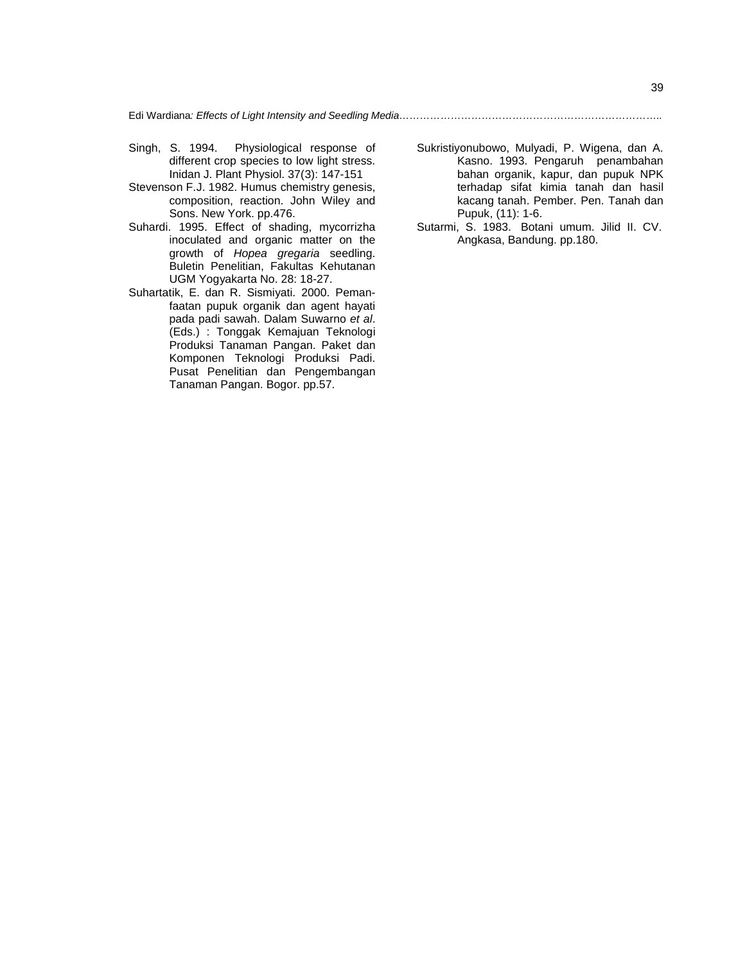Edi Wardiana*: Effects of Light Intensity and Seedling Media…………………………………………………………………..*

- Singh, S. 1994. Physiological response of different crop species to low light stress. Inidan J. Plant Physiol. 37(3): 147-151
- Stevenson F.J. 1982. Humus chemistry genesis, composition, reaction. John Wiley and Sons. New York. pp.476.
- Suhardi. 1995. Effect of shading, mycorrizha inoculated and organic matter on the growth of *Hopea gregaria* seedling. Buletin Penelitian, Fakultas Kehutanan UGM Yogyakarta No. 28: 18-27.
- Suhartatik, E. dan R. Sismiyati. 2000. Pemanfaatan pupuk organik dan agent hayati pada padi sawah. Dalam Suwarno *et al*. (Eds.) : Tonggak Kemajuan Teknologi Produksi Tanaman Pangan. Paket dan Komponen Teknologi Produksi Padi. Pusat Penelitian dan Pengembangan Tanaman Pangan. Bogor. pp.57.
- Sukristiyonubowo, Mulyadi, P. Wigena, dan A. Kasno. 1993. Pengaruh penambahan bahan organik, kapur, dan pupuk NPK terhadap sifat kimia tanah dan hasil kacang tanah. Pember. Pen. Tanah dan Pupuk, (11): 1-6.
- Sutarmi, S. 1983. Botani umum. Jilid II. CV. Angkasa, Bandung. pp.180.